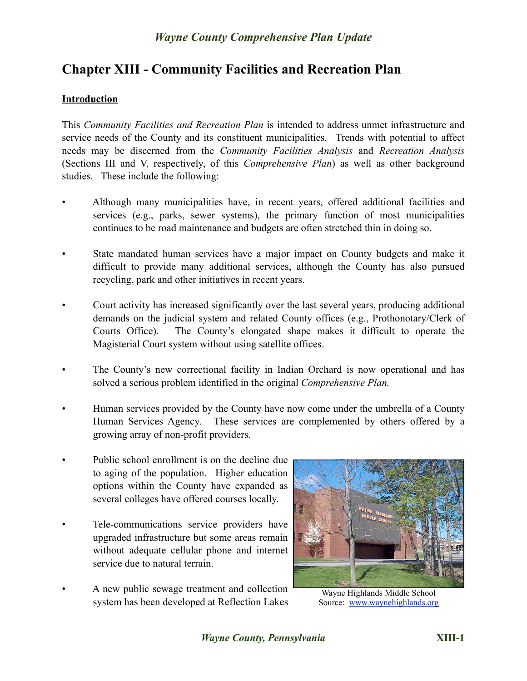# **Chapter XIII - Community Facilities and Recreation Plan**

#### **Introduction**

This *Community Facilities and Recreation Plan* is intended to address unmet infrastructure and service needs of the County and its constituent municipalities. Trends with potential to affect needs may be discerned from the *Community Facilities Analysis* and *Recreation Analysis* (Sections III and V, respectively, of this *Comprehensive Plan*) as well as other background studies. These include the following:

- Although many municipalities have, in recent years, offered additional facilities and services (e.g., parks, sewer systems), the primary function of most municipalities continues to be road maintenance and budgets are often stretched thin in doing so.
- State mandated human services have a major impact on County budgets and make it difficult to provide many additional services, although the County has also pursued recycling, park and other initiatives in recent years.
- Court activity has increased significantly over the last several years, producing additional demands on the judicial system and related County offices (e.g., Prothonotary/Clerk of Courts Office). The County's elongated shape makes it difficult to operate the Magisterial Court system without using satellite offices.
- The County's new correctional facility in Indian Orchard is now operational and has solved a serious problem identified in the original *Comprehensive Plan.*
- Human services provided by the County have now come under the umbrella of a County Human Services Agency. These services are complemented by others offered by a growing array of non-profit providers.
- Public school enrollment is on the decline due to aging of the population. Higher education options within the County have expanded as several colleges have offered courses locally.
- Tele-communications service providers have upgraded infrastructure but some areas remain without adequate cellular phone and internet service due to natural terrain.
- A new public sewage treatment and collection system has been developed at Reflection Lakes



Wayne Highlands Middle School Source: [www.waynehighlands.org](http://www.waynehighlands.org)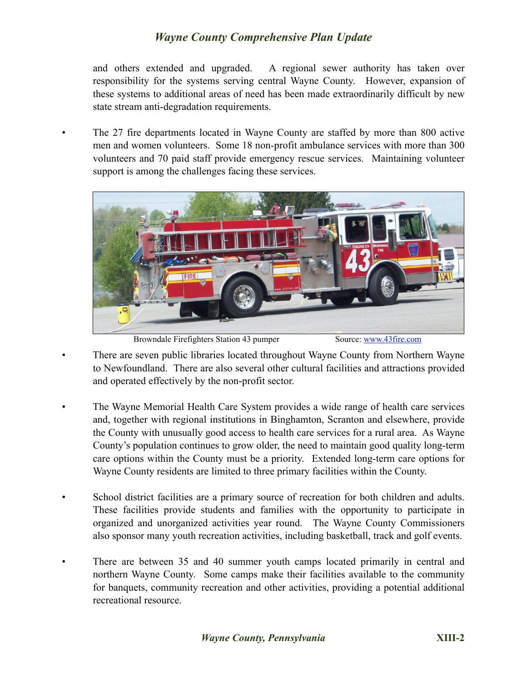and others extended and upgraded. A regional sewer authority has taken over responsibility for the systems serving central Wayne County. However, expansion of these systems to additional areas of need has been made extraordinarily difficult by new state stream anti-degradation requirements.

• The 27 fire departments located in Wayne County are staffed by more than 800 active men and women volunteers. Some 18 non-profit ambulance services with more than 300 volunteers and 70 paid staff provide emergency rescue services. Maintaining volunteer support is among the challenges facing these services.



Browndale Firefighters Station 43 pumper Source: [www.43fire.com](http://www.43fire.com)

- There are seven public libraries located throughout Wayne County from Northern Wayne to Newfoundland. There are also several other cultural facilities and attractions provided and operated effectively by the non-profit sector.
- The Wayne Memorial Health Care System provides a wide range of health care services and, together with regional institutions in Binghamton, Scranton and elsewhere, provide the County with unusually good access to health care services for a rural area. As Wayne County's population continues to grow older, the need to maintain good quality long-term care options within the County must be a priority. Extended long-term care options for Wayne County residents are limited to three primary facilities within the County.
- School district facilities are a primary source of recreation for both children and adults. These facilities provide students and families with the opportunity to participate in organized and unorganized activities year round. The Wayne County Commissioners also sponsor many youth recreation activities, including basketball, track and golf events.
- There are between 35 and 40 summer youth camps located primarily in central and northern Wayne County. Some camps make their facilities available to the community for banquets, community recreation and other activities, providing a potential additional recreational resource.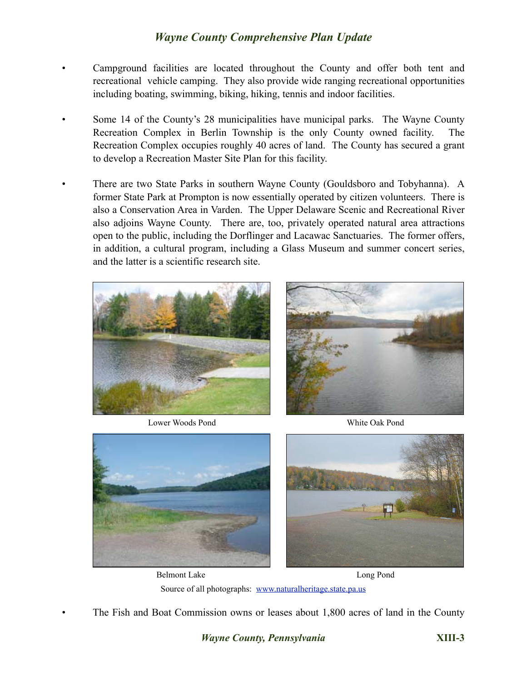- Campground facilities are located throughout the County and offer both tent and recreational vehicle camping. They also provide wide ranging recreational opportunities including boating, swimming, biking, hiking, tennis and indoor facilities.
- Some 14 of the County's 28 municipalities have municipal parks. The Wayne County Recreation Complex in Berlin Township is the only County owned facility. The Recreation Complex occupies roughly 40 acres of land. The County has secured a grant to develop a Recreation Master Site Plan for this facility.
- There are two State Parks in southern Wayne County (Gouldsboro and Tobyhanna). A former State Park at Prompton is now essentially operated by citizen volunteers. There is also a Conservation Area in Varden. The Upper Delaware Scenic and Recreational River also adjoins Wayne County. There are, too, privately operated natural area attractions open to the public, including the Dorflinger and Lacawac Sanctuaries. The former offers, in addition, a cultural program, including a Glass Museum and summer concert series, and the latter is a scientific research site.



Lower Woods Pond White Oak Pond





Belmont Lake Long Pond Source of all photographs: [www.naturalheritage.state.pa.us](http://images.google.com/imgres?imgurl=http://www.naturalheritage.state.pa.us/images/AboutUS/newlogo.gif&imgrefurl=http://www.naturalheritage.state.pa.us/aboutus.aspx&usg=__-PLrI7liKPC--1pS1PIMTAgcNOg=&h=300&w=420&sz=31&hl=en&start=1&tbnid=UyEi78uP_ERHBM:&tbnh=89&tbnw=125&prev=/images%253Fq%253Dpennsylvania%252Bfish%252Band%252Bboat%252Bcommission%2526gbv%253D2%2526hl%253Den%2526sa%253DG)

• The Fish and Boat Commission owns or leases about 1,800 acres of land in the County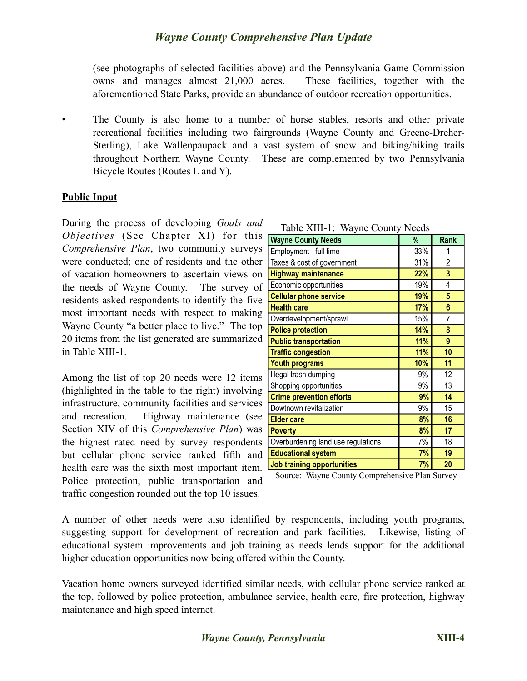(see photographs of selected facilities above) and the Pennsylvania Game Commission owns and manages almost 21,000 acres. These facilities, together with the aforementioned State Parks, provide an abundance of outdoor recreation opportunities.

• The County is also home to a number of horse stables, resorts and other private recreational facilities including two fairgrounds (Wayne County and Greene-Dreher-Sterling), Lake Wallenpaupack and a vast system of snow and biking/hiking trails throughout Northern Wayne County. These are complemented by two Pennsylvania Bicycle Routes (Routes L and Y).

#### **Public Input**

During the process of developing *Goals and Objectives* (See Chapter XI) for this *Comprehensive Plan*, two community surveys were conducted; one of residents and the other of vacation homeowners to ascertain views on the needs of Wayne County. The survey of residents asked respondents to identify the five most important needs with respect to making Wayne County "a better place to live." The top 20 items from the list generated are summarized in Table XIII-1.

Among the list of top 20 needs were 12 items (highlighted in the table to the right) involving infrastructure, community facilities and services and recreation. Highway maintenance (see Section XIV of this *Comprehensive Plan*) was the highest rated need by survey respondents but cellular phone service ranked fifth and health care was the sixth most important item. Police protection, public transportation and traffic congestion rounded out the top 10 issues.

| <b>Wayne County Needs</b>          | %   | <b>Rank</b>    |
|------------------------------------|-----|----------------|
| Employment - full time             | 33% | 1              |
| Taxes & cost of government         | 31% | $\overline{c}$ |
| <b>Highway maintenance</b>         | 22% | 3              |
| Economic opportunities             | 19% | 4              |
| <b>Cellular phone service</b>      | 19% | 5              |
| <b>Health care</b>                 | 17% | 6              |
| Overdevelopment/sprawl             | 15% | $\overline{7}$ |
| <b>Police protection</b>           | 14% | 8              |
| <b>Public transportation</b>       | 11% | 9              |
| <b>Traffic congestion</b>          | 11% | 10             |
| <b>Youth programs</b>              | 10% | 11             |
| Illegal trash dumping              | 9%  | 12             |
| Shopping opportunities             | 9%  | 13             |
| <b>Crime prevention efforts</b>    | 9%  | 14             |
| Dowtnown revitalization            | 9%  | 15             |
| <b>Elder care</b>                  | 8%  | 16             |
| <b>Poverty</b>                     | 8%  | 17             |
| Overburdening land use regulations | 7%  | 18             |
| <b>Educational system</b>          | 7%  | 19             |
| <b>Job training opportunities</b>  | 7%  | 20             |

Source: Wayne County Comprehensive Plan Survey

A number of other needs were also identified by respondents, including youth programs, suggesting support for development of recreation and park facilities. Likewise, listing of educational system improvements and job training as needs lends support for the additional higher education opportunities now being offered within the County.

Vacation home owners surveyed identified similar needs, with cellular phone service ranked at the top, followed by police protection, ambulance service, health care, fire protection, highway maintenance and high speed internet.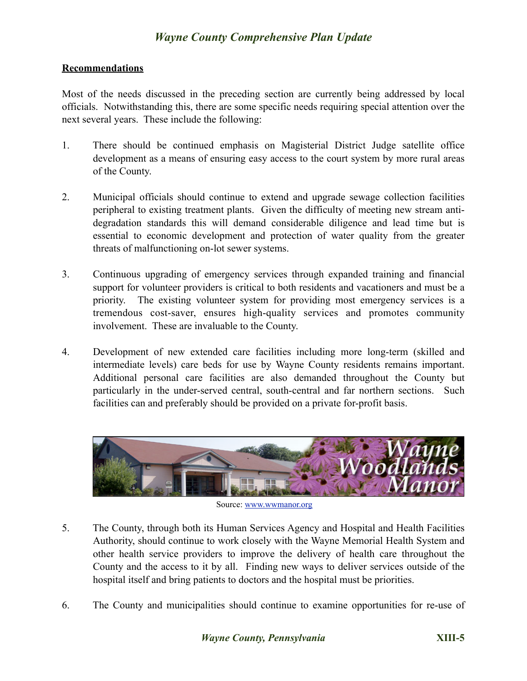#### **Recommendations**

Most of the needs discussed in the preceding section are currently being addressed by local officials. Notwithstanding this, there are some specific needs requiring special attention over the next several years. These include the following:

- 1. There should be continued emphasis on Magisterial District Judge satellite office development as a means of ensuring easy access to the court system by more rural areas of the County.
- 2. Municipal officials should continue to extend and upgrade sewage collection facilities peripheral to existing treatment plants. Given the difficulty of meeting new stream antidegradation standards this will demand considerable diligence and lead time but is essential to economic development and protection of water quality from the greater threats of malfunctioning on-lot sewer systems.
- 3. Continuous upgrading of emergency services through expanded training and financial support for volunteer providers is critical to both residents and vacationers and must be a priority. The existing volunteer system for providing most emergency services is a tremendous cost-saver, ensures high-quality services and promotes community involvement. These are invaluable to the County.
- 4. Development of new extended care facilities including more long-term (skilled and intermediate levels) care beds for use by Wayne County residents remains important. Additional personal care facilities are also demanded throughout the County but particularly in the under-served central, south-central and far northern sections. Such facilities can and preferably should be provided on a private for-profit basis.



Source: [www.wwmanor.org](http://www.wwmanor.org)

- 5. The County, through both its Human Services Agency and Hospital and Health Facilities Authority, should continue to work closely with the Wayne Memorial Health System and other health service providers to improve the delivery of health care throughout the County and the access to it by all. Finding new ways to deliver services outside of the hospital itself and bring patients to doctors and the hospital must be priorities.
- 6. The County and municipalities should continue to examine opportunities for re-use of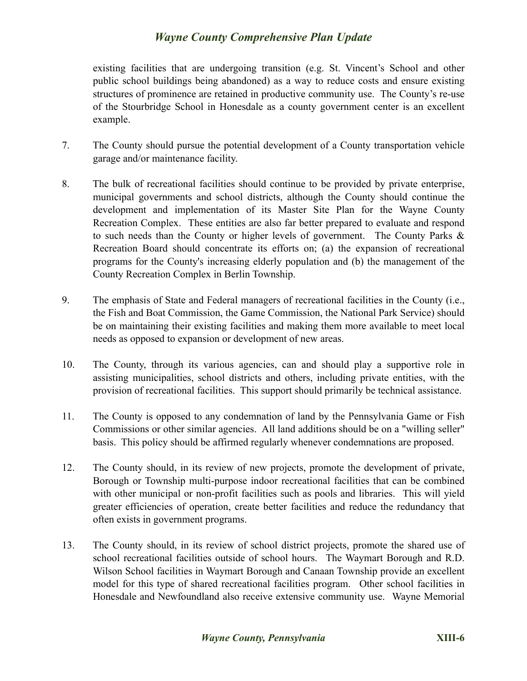existing facilities that are undergoing transition (e.g. St. Vincent's School and other public school buildings being abandoned) as a way to reduce costs and ensure existing structures of prominence are retained in productive community use. The County's re-use of the Stourbridge School in Honesdale as a county government center is an excellent example.

- 7. The County should pursue the potential development of a County transportation vehicle garage and/or maintenance facility.
- 8. The bulk of recreational facilities should continue to be provided by private enterprise, municipal governments and school districts, although the County should continue the development and implementation of its Master Site Plan for the Wayne County Recreation Complex. These entities are also far better prepared to evaluate and respond to such needs than the County or higher levels of government. The County Parks & Recreation Board should concentrate its efforts on; (a) the expansion of recreational programs for the County's increasing elderly population and (b) the management of the County Recreation Complex in Berlin Township.
- 9. The emphasis of State and Federal managers of recreational facilities in the County (i.e., the Fish and Boat Commission, the Game Commission, the National Park Service) should be on maintaining their existing facilities and making them more available to meet local needs as opposed to expansion or development of new areas.
- 10. The County, through its various agencies, can and should play a supportive role in assisting municipalities, school districts and others, including private entities, with the provision of recreational facilities. This support should primarily be technical assistance.
- 11. The County is opposed to any condemnation of land by the Pennsylvania Game or Fish Commissions or other similar agencies. All land additions should be on a "willing seller" basis. This policy should be affirmed regularly whenever condemnations are proposed.
- 12. The County should, in its review of new projects, promote the development of private, Borough or Township multi-purpose indoor recreational facilities that can be combined with other municipal or non-profit facilities such as pools and libraries. This will yield greater efficiencies of operation, create better facilities and reduce the redundancy that often exists in government programs.
- 13. The County should, in its review of school district projects, promote the shared use of school recreational facilities outside of school hours. The Waymart Borough and R.D. Wilson School facilities in Waymart Borough and Canaan Township provide an excellent model for this type of shared recreational facilities program. Other school facilities in Honesdale and Newfoundland also receive extensive community use. Wayne Memorial